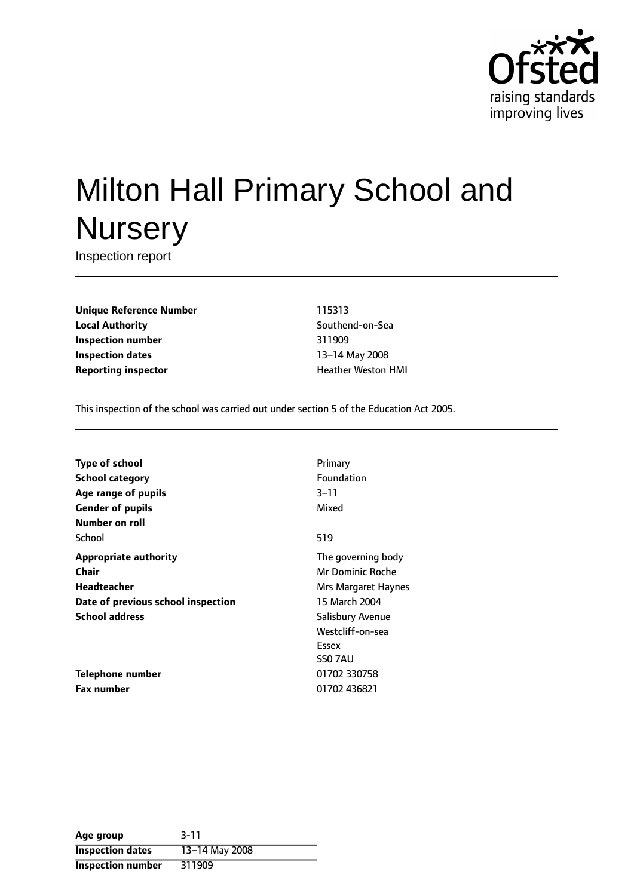

# Milton Hall Primary School and **Nursery**

Inspection report

**Unique Reference Number** 115313 **Local Authority Contract Contract Contract Contract Contract Contract Contract Contract Contract Contract Contract Contract Contract Contract Contract Contract Contract Contract Contract Contract Contract Contract Contr Inspection number** 311909 **Inspection dates** 13-14 May 2008 **Reporting inspector Example 20 and The Heather Weston HMI** 

This inspection of the school was carried out under section 5 of the Education Act 2005.

| Type of school                     | Primary                 |
|------------------------------------|-------------------------|
| <b>School category</b>             | <b>Foundation</b>       |
| Age range of pupils                | $3 - 11$                |
| <b>Gender of pupils</b>            | Mixed                   |
| Number on roll                     |                         |
| School                             | 519                     |
| <b>Appropriate authority</b>       | The governing body      |
| Chair                              | Mr Dominic Roche        |
| Headteacher                        | Mrs Margaret Haynes     |
| Date of previous school inspection | 15 March 2004           |
| <b>School address</b>              | <b>Salisbury Avenue</b> |
|                                    | Westcliff-on-sea        |
|                                    | Essex                   |
|                                    | SS0 7AU                 |
| <b>Telephone number</b>            | 01702 330758            |
| Fax number                         | 01702 436821            |
|                                    |                         |

| Age group               | $3 - 11$       |
|-------------------------|----------------|
| <b>Inspection dates</b> | 13-14 May 2008 |
| Inspection number       | 311909         |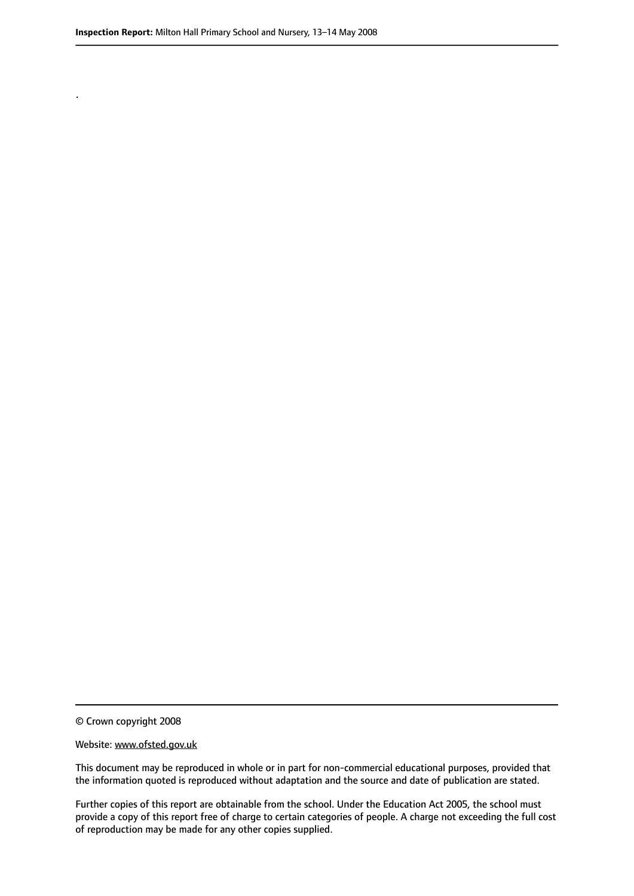.

© Crown copyright 2008

#### Website: www.ofsted.gov.uk

This document may be reproduced in whole or in part for non-commercial educational purposes, provided that the information quoted is reproduced without adaptation and the source and date of publication are stated.

Further copies of this report are obtainable from the school. Under the Education Act 2005, the school must provide a copy of this report free of charge to certain categories of people. A charge not exceeding the full cost of reproduction may be made for any other copies supplied.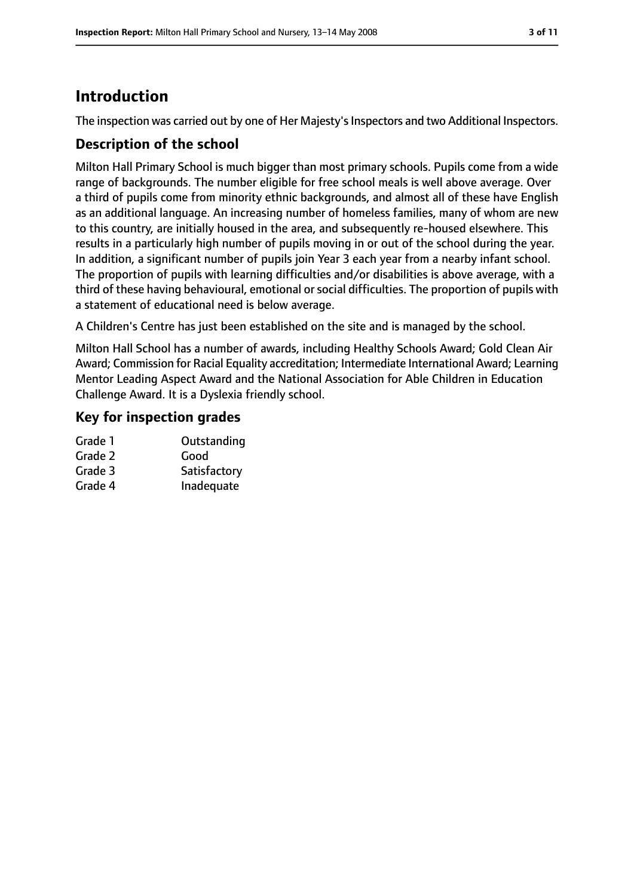## **Introduction**

The inspection was carried out by one of Her Majesty's Inspectors and two Additional Inspectors.

#### **Description of the school**

Milton Hall Primary School is much bigger than most primary schools. Pupils come from a wide range of backgrounds. The number eligible for free school meals is well above average. Over a third of pupils come from minority ethnic backgrounds, and almost all of these have English as an additional language. An increasing number of homeless families, many of whom are new to this country, are initially housed in the area, and subsequently re-housed elsewhere. This results in a particularly high number of pupils moving in or out of the school during the year. In addition, a significant number of pupils join Year 3 each year from a nearby infant school. The proportion of pupils with learning difficulties and/or disabilities is above average, with a third of these having behavioural, emotional or social difficulties. The proportion of pupils with a statement of educational need is below average.

A Children's Centre has just been established on the site and is managed by the school.

Milton Hall School has a number of awards, including Healthy Schools Award; Gold Clean Air Award; Commission for Racial Equality accreditation; Intermediate International Award; Learning Mentor Leading Aspect Award and the National Association for Able Children in Education Challenge Award. It is a Dyslexia friendly school.

#### **Key for inspection grades**

| Grade 1 | Outstanding  |
|---------|--------------|
| Grade 2 | Good         |
| Grade 3 | Satisfactory |
| Grade 4 | Inadequate   |
|         |              |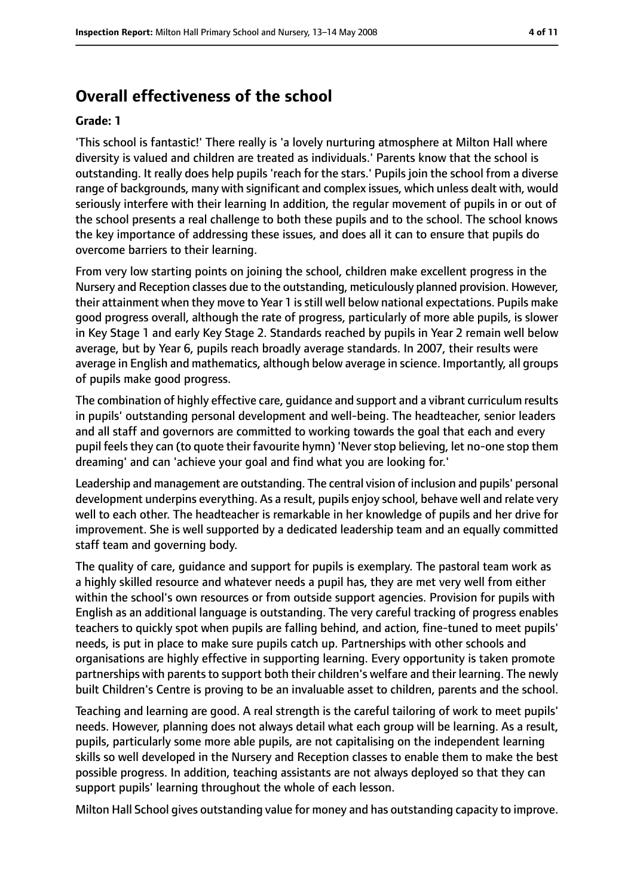# **Overall effectiveness of the school**

#### **Grade: 1**

'This school is fantastic!' There really is 'a lovely nurturing atmosphere at Milton Hall where diversity is valued and children are treated as individuals.' Parents know that the school is outstanding. It really does help pupils 'reach for the stars.' Pupils join the school from a diverse range of backgrounds, many with significant and complex issues, which unless dealt with, would seriously interfere with their learning In addition, the regular movement of pupils in or out of the school presents a real challenge to both these pupils and to the school. The school knows the key importance of addressing these issues, and does all it can to ensure that pupils do overcome barriers to their learning.

From very low starting points on joining the school, children make excellent progress in the Nursery and Reception classes due to the outstanding, meticulously planned provision. However, their attainment when they move to Year 1 isstill well below national expectations. Pupils make good progress overall, although the rate of progress, particularly of more able pupils, is slower in Key Stage 1 and early Key Stage 2. Standards reached by pupils in Year 2 remain well below average, but by Year 6, pupils reach broadly average standards. In 2007, their results were average in English and mathematics, although below average in science. Importantly, all groups of pupils make good progress.

The combination of highly effective care, guidance and support and a vibrant curriculum results in pupils' outstanding personal development and well-being. The headteacher, senior leaders and all staff and governors are committed to working towards the goal that each and every pupil feels they can (to quote their favourite hymn) 'Never stop believing, let no-one stop them dreaming' and can 'achieve your goal and find what you are looking for.'

Leadership and management are outstanding. The central vision of inclusion and pupils' personal development underpins everything. As a result, pupils enjoy school, behave well and relate very well to each other. The headteacher is remarkable in her knowledge of pupils and her drive for improvement. She is well supported by a dedicated leadership team and an equally committed staff team and governing body.

The quality of care, guidance and support for pupils is exemplary. The pastoral team work as a highly skilled resource and whatever needs a pupil has, they are met very well from either within the school's own resources or from outside support agencies. Provision for pupils with English as an additional language is outstanding. The very careful tracking of progress enables teachers to quickly spot when pupils are falling behind, and action, fine-tuned to meet pupils' needs, is put in place to make sure pupils catch up. Partnerships with other schools and organisations are highly effective in supporting learning. Every opportunity is taken promote partnerships with parents to support both their children's welfare and their learning. The newly built Children's Centre is proving to be an invaluable asset to children, parents and the school.

Teaching and learning are good. A real strength is the careful tailoring of work to meet pupils' needs. However, planning does not always detail what each group will be learning. As a result, pupils, particularly some more able pupils, are not capitalising on the independent learning skills so well developed in the Nursery and Reception classes to enable them to make the best possible progress. In addition, teaching assistants are not always deployed so that they can support pupils' learning throughout the whole of each lesson.

Milton Hall School gives outstanding value for money and has outstanding capacity to improve.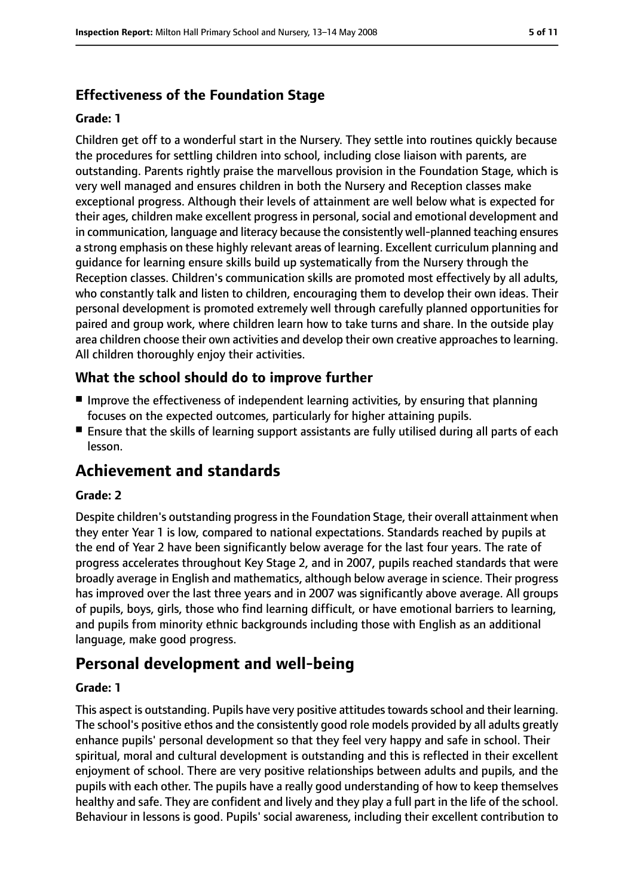## **Effectiveness of the Foundation Stage**

#### **Grade: 1**

Children get off to a wonderful start in the Nursery. They settle into routines quickly because the procedures for settling children into school, including close liaison with parents, are outstanding. Parents rightly praise the marvellous provision in the Foundation Stage, which is very well managed and ensures children in both the Nursery and Reception classes make exceptional progress. Although their levels of attainment are well below what is expected for their ages, children make excellent progress in personal, social and emotional development and in communication, language and literacy because the consistently well-planned teaching ensures a strong emphasis on these highly relevant areas of learning. Excellent curriculum planning and guidance for learning ensure skills build up systematically from the Nursery through the Reception classes. Children's communication skills are promoted most effectively by all adults, who constantly talk and listen to children, encouraging them to develop their own ideas. Their personal development is promoted extremely well through carefully planned opportunities for paired and group work, where children learn how to take turns and share. In the outside play area children choose their own activities and develop their own creative approaches to learning. All children thoroughly enjoy their activities.

#### **What the school should do to improve further**

- Improve the effectiveness of independent learning activities, by ensuring that planning focuses on the expected outcomes, particularly for higher attaining pupils.
- Ensure that the skills of learning support assistants are fully utilised during all parts of each lesson.

## **Achievement and standards**

#### **Grade: 2**

Despite children's outstanding progressin the Foundation Stage, their overall attainment when they enter Year 1 is low, compared to national expectations. Standards reached by pupils at the end of Year 2 have been significantly below average for the last four years. The rate of progress accelerates throughout Key Stage 2, and in 2007, pupils reached standards that were broadly average in English and mathematics, although below average in science. Their progress has improved over the last three years and in 2007 was significantly above average. All groups of pupils, boys, girls, those who find learning difficult, or have emotional barriers to learning, and pupils from minority ethnic backgrounds including those with English as an additional language, make good progress.

## **Personal development and well-being**

#### **Grade: 1**

This aspect is outstanding. Pupils have very positive attitudes towards school and their learning. The school's positive ethos and the consistently good role models provided by all adults greatly enhance pupils' personal development so that they feel very happy and safe in school. Their spiritual, moral and cultural development is outstanding and this is reflected in their excellent enjoyment of school. There are very positive relationships between adults and pupils, and the pupils with each other. The pupils have a really good understanding of how to keep themselves healthy and safe. They are confident and lively and they play a full part in the life of the school. Behaviour in lessons is good. Pupils' social awareness, including their excellent contribution to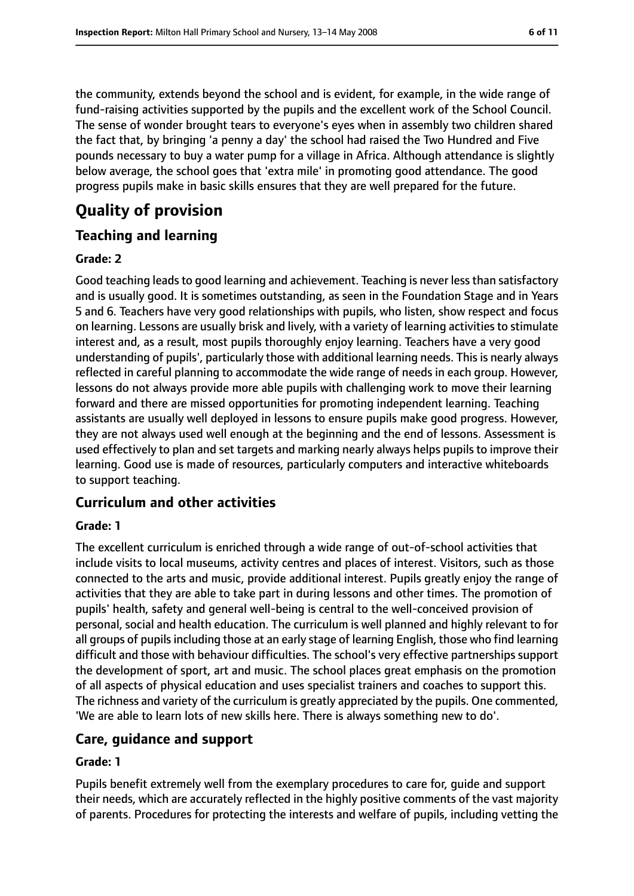the community, extends beyond the school and is evident, for example, in the wide range of fund-raising activities supported by the pupils and the excellent work of the School Council. The sense of wonder brought tears to everyone's eyes when in assembly two children shared the fact that, by bringing 'a penny a day' the school had raised the Two Hundred and Five pounds necessary to buy a water pump for a village in Africa. Although attendance is slightly below average, the school goes that 'extra mile' in promoting good attendance. The good progress pupils make in basic skills ensures that they are well prepared for the future.

# **Quality of provision**

## **Teaching and learning**

#### **Grade: 2**

Good teaching leads to good learning and achievement. Teaching is never less than satisfactory and is usually good. It is sometimes outstanding, as seen in the Foundation Stage and in Years 5 and 6. Teachers have very good relationships with pupils, who listen, show respect and focus on learning. Lessons are usually brisk and lively, with a variety of learning activities to stimulate interest and, as a result, most pupils thoroughly enjoy learning. Teachers have a very good understanding of pupils', particularly those with additional learning needs. This is nearly always reflected in careful planning to accommodate the wide range of needs in each group. However, lessons do not always provide more able pupils with challenging work to move their learning forward and there are missed opportunities for promoting independent learning. Teaching assistants are usually well deployed in lessons to ensure pupils make good progress. However, they are not always used well enough at the beginning and the end of lessons. Assessment is used effectively to plan and set targets and marking nearly always helps pupils to improve their learning. Good use is made of resources, particularly computers and interactive whiteboards to support teaching.

## **Curriculum and other activities**

#### **Grade: 1**

The excellent curriculum is enriched through a wide range of out-of-school activities that include visits to local museums, activity centres and places of interest. Visitors, such as those connected to the arts and music, provide additional interest. Pupils greatly enjoy the range of activities that they are able to take part in during lessons and other times. The promotion of pupils' health, safety and general well-being is central to the well-conceived provision of personal, social and health education. The curriculum is well planned and highly relevant to for all groups of pupils including those at an early stage of learning English, those who find learning difficult and those with behaviour difficulties. The school's very effective partnerships support the development of sport, art and music. The school places great emphasis on the promotion of all aspects of physical education and uses specialist trainers and coaches to support this. The richness and variety of the curriculum is greatly appreciated by the pupils. One commented, 'We are able to learn lots of new skills here. There is always something new to do'.

#### **Care, guidance and support**

#### **Grade: 1**

Pupils benefit extremely well from the exemplary procedures to care for, guide and support their needs, which are accurately reflected in the highly positive comments of the vast majority of parents. Procedures for protecting the interests and welfare of pupils, including vetting the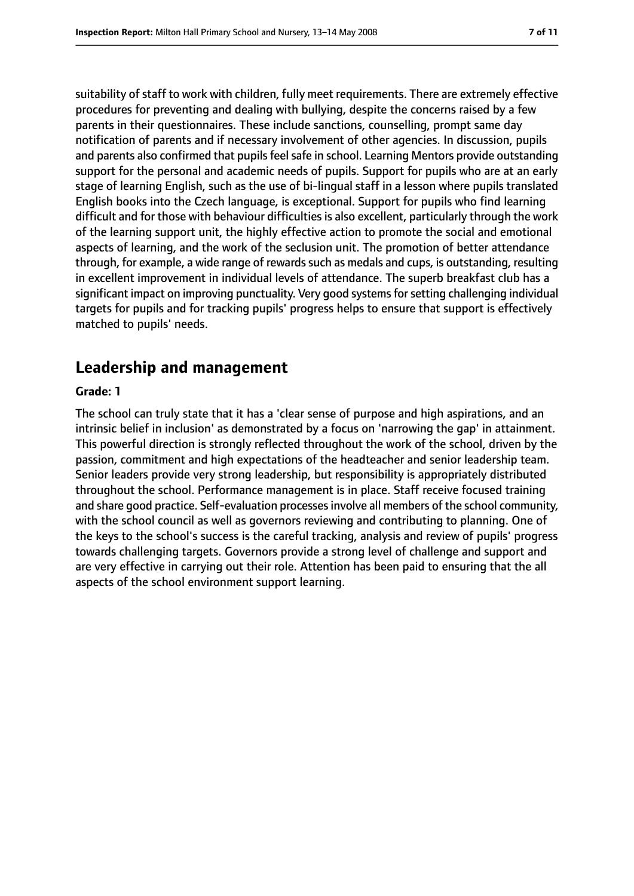suitability of staff to work with children, fully meet requirements. There are extremely effective procedures for preventing and dealing with bullying, despite the concerns raised by a few parents in their questionnaires. These include sanctions, counselling, prompt same day notification of parents and if necessary involvement of other agencies. In discussion, pupils and parents also confirmed that pupils feel safe in school. Learning Mentors provide outstanding support for the personal and academic needs of pupils. Support for pupils who are at an early stage of learning English, such as the use of bi-lingual staff in a lesson where pupils translated English books into the Czech language, is exceptional. Support for pupils who find learning difficult and for those with behaviour difficulties is also excellent, particularly through the work of the learning support unit, the highly effective action to promote the social and emotional aspects of learning, and the work of the seclusion unit. The promotion of better attendance through, for example, a wide range of rewards such as medals and cups, is outstanding, resulting in excellent improvement in individual levels of attendance. The superb breakfast club has a significant impact on improving punctuality. Very good systems for setting challenging individual targets for pupils and for tracking pupils' progress helps to ensure that support is effectively matched to pupils' needs.

## **Leadership and management**

#### **Grade: 1**

The school can truly state that it has a 'clear sense of purpose and high aspirations, and an intrinsic belief in inclusion' as demonstrated by a focus on 'narrowing the gap' in attainment. This powerful direction is strongly reflected throughout the work of the school, driven by the passion, commitment and high expectations of the headteacher and senior leadership team. Senior leaders provide very strong leadership, but responsibility is appropriately distributed throughout the school. Performance management is in place. Staff receive focused training and share good practice. Self-evaluation processes involve all members of the school community, with the school council as well as governors reviewing and contributing to planning. One of the keys to the school's success is the careful tracking, analysis and review of pupils' progress towards challenging targets. Governors provide a strong level of challenge and support and are very effective in carrying out their role. Attention has been paid to ensuring that the all aspects of the school environment support learning.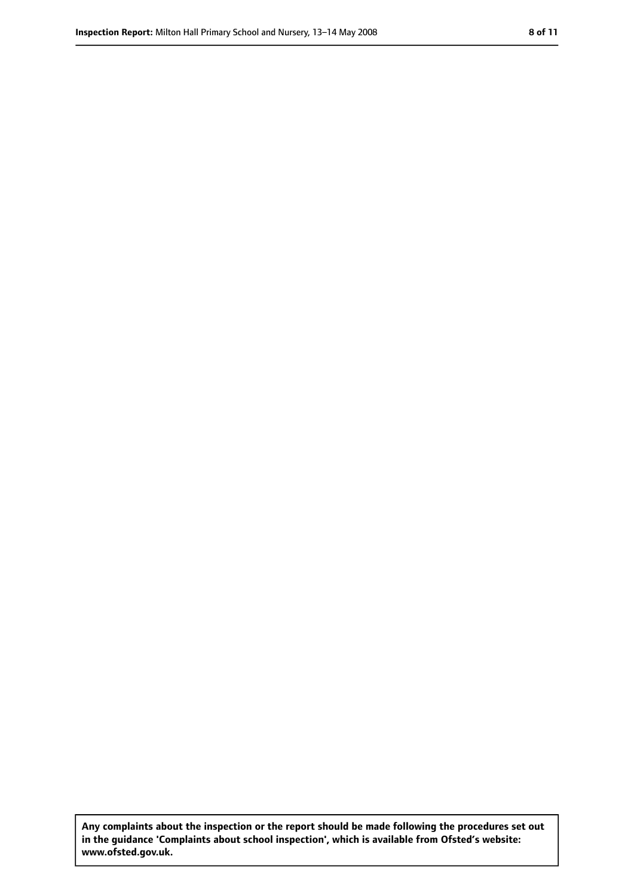**Any complaints about the inspection or the report should be made following the procedures set out in the guidance 'Complaints about school inspection', which is available from Ofsted's website: www.ofsted.gov.uk.**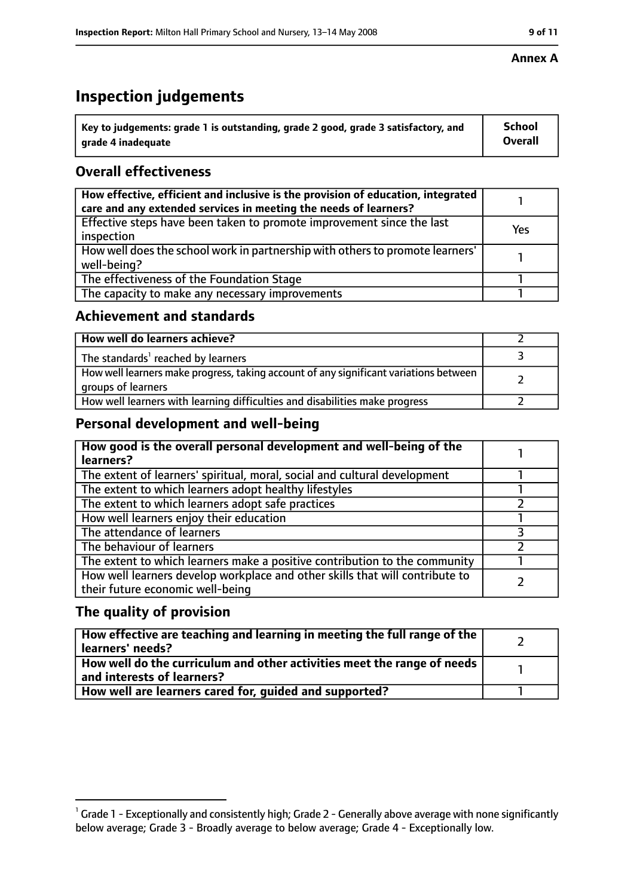# **Inspection judgements**

| $\dot{ }$ Key to judgements: grade 1 is outstanding, grade 2 good, grade 3 satisfactory, and | School         |
|----------------------------------------------------------------------------------------------|----------------|
| arade 4 inadequate                                                                           | <b>Overall</b> |

## **Overall effectiveness**

| How effective, efficient and inclusive is the provision of education, integrated<br>care and any extended services in meeting the needs of learners? |     |
|------------------------------------------------------------------------------------------------------------------------------------------------------|-----|
| Effective steps have been taken to promote improvement since the last<br>inspection                                                                  | Yes |
| How well does the school work in partnership with others to promote learners'<br>well-being?                                                         |     |
| The effectiveness of the Foundation Stage                                                                                                            |     |
| The capacity to make any necessary improvements                                                                                                      |     |

#### **Achievement and standards**

| How well do learners achieve?                                                                               |  |
|-------------------------------------------------------------------------------------------------------------|--|
| The standards <sup>1</sup> reached by learners                                                              |  |
| How well learners make progress, taking account of any significant variations between<br>groups of learners |  |
| How well learners with learning difficulties and disabilities make progress                                 |  |

## **Personal development and well-being**

| How good is the overall personal development and well-being of the<br>learners?                                  |  |
|------------------------------------------------------------------------------------------------------------------|--|
| The extent of learners' spiritual, moral, social and cultural development                                        |  |
| The extent to which learners adopt healthy lifestyles                                                            |  |
| The extent to which learners adopt safe practices                                                                |  |
| How well learners enjoy their education                                                                          |  |
| The attendance of learners                                                                                       |  |
| The behaviour of learners                                                                                        |  |
| The extent to which learners make a positive contribution to the community                                       |  |
| How well learners develop workplace and other skills that will contribute to<br>their future economic well-being |  |

#### **The quality of provision**

| How effective are teaching and learning in meeting the full range of the<br>learners' needs?          |  |
|-------------------------------------------------------------------------------------------------------|--|
| How well do the curriculum and other activities meet the range of needs<br>and interests of learners? |  |
| How well are learners cared for, quided and supported?                                                |  |

#### **Annex A**

 $^1$  Grade 1 - Exceptionally and consistently high; Grade 2 - Generally above average with none significantly below average; Grade 3 - Broadly average to below average; Grade 4 - Exceptionally low.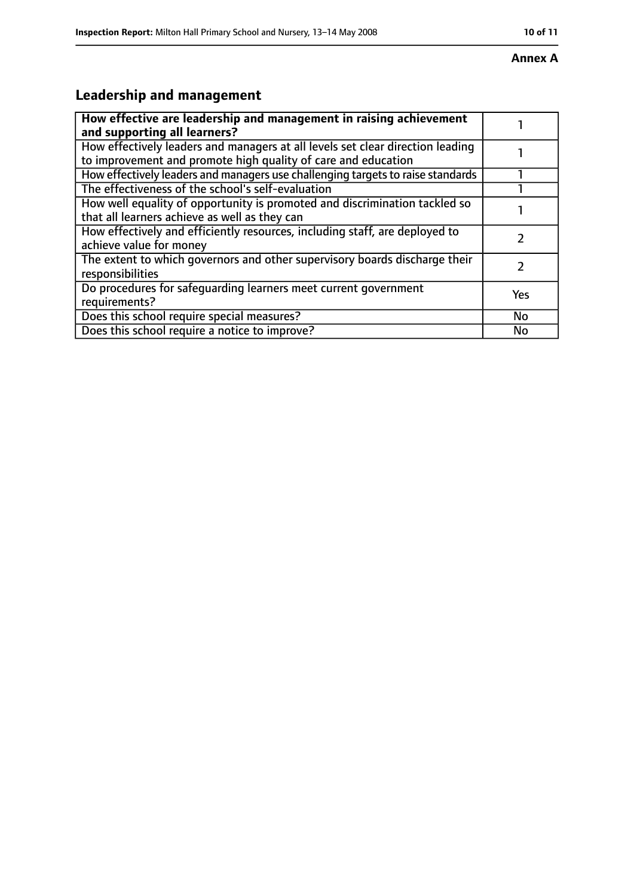#### **Annex A**

# **Leadership and management**

| How effective are leadership and management in raising achievement<br>and supporting all learners?                                              |     |
|-------------------------------------------------------------------------------------------------------------------------------------------------|-----|
| How effectively leaders and managers at all levels set clear direction leading<br>to improvement and promote high quality of care and education |     |
| How effectively leaders and managers use challenging targets to raise standards                                                                 |     |
| The effectiveness of the school's self-evaluation                                                                                               |     |
| How well equality of opportunity is promoted and discrimination tackled so<br>that all learners achieve as well as they can                     |     |
| How effectively and efficiently resources, including staff, are deployed to<br>achieve value for money                                          |     |
| The extent to which governors and other supervisory boards discharge their<br>responsibilities                                                  |     |
| Do procedures for safequarding learners meet current government<br>requirements?                                                                | Yes |
| Does this school require special measures?                                                                                                      | No  |
| Does this school require a notice to improve?                                                                                                   | No  |